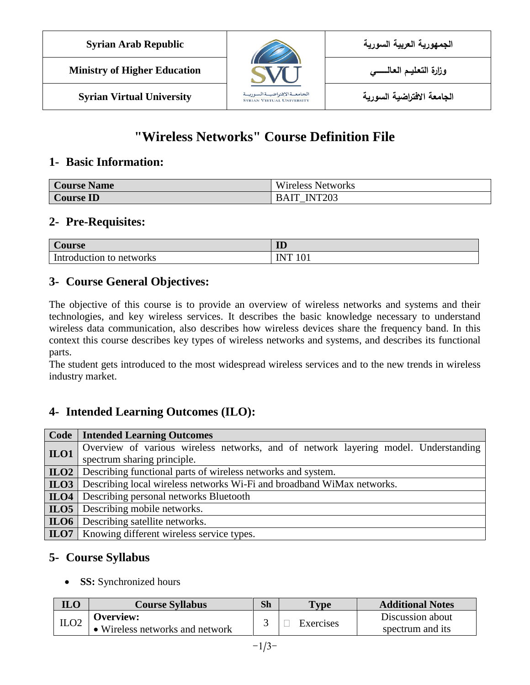| <b>Syrian Arab Republic</b>         |                                                                    | الجمهورية العربية السورية  |
|-------------------------------------|--------------------------------------------------------------------|----------------------------|
| <b>Ministry of Higher Education</b> |                                                                    |                            |
| <b>Syrian Virtual University</b>    | الجامعــةالإفتراضيــةالسوريــة<br><b>SYRIAN VIRTUAL UNIVERSITY</b> | الجامعة الافتراضية السورية |

# **"Wireless Networks" Course Definition File**

### **1- Basic Information:**

| <b>Course Name</b> | T T T<br>Wireless Networks |
|--------------------|----------------------------|
| ID<br>Course '     | <b>INT203</b>              |

## **2- Pre-Requisites:**

| bourse                         | <b>TD</b><br>w          |
|--------------------------------|-------------------------|
| Introduction<br>networks<br>TΩ | $\Omega$<br>INIT<br>101 |

## **3- Course General Objectives:**

The objective of this course is to provide an overview of wireless networks and systems and their technologies, and key wireless services. It describes the basic knowledge necessary to understand wireless data communication, also describes how wireless devices share the frequency band. In this context this course describes key types of wireless networks and systems, and describes its functional parts.

The student gets introduced to the most widespread wireless services and to the new trends in wireless industry market.

## **4- Intended Learning Outcomes (ILO):**

| Code | <b>Intended Learning Outcomes</b>                                                   |  |  |
|------|-------------------------------------------------------------------------------------|--|--|
| ILO1 | Overview of various wireless networks, and of network layering model. Understanding |  |  |
|      | spectrum sharing principle.                                                         |  |  |
| ILO2 | Describing functional parts of wireless networks and system.                        |  |  |
| ILO3 | Describing local wireless networks Wi-Fi and broadband WiMax networks.              |  |  |
|      | <b>ILO4</b> Describing personal networks Bluetooth                                  |  |  |
|      | <b>ILO5</b> Describing mobile networks.                                             |  |  |
| ILO6 | Describing satellite networks.                                                      |  |  |
|      | <b>ILO7</b>   Knowing different wireless service types.                             |  |  |

## **5- Course Syllabus**

• **SS:** Synchronized hours

| <b>ILO</b> | <b>Course Syllabus</b>          | Sh | <b>Type</b> | <b>Additional Notes</b> |
|------------|---------------------------------|----|-------------|-------------------------|
| ILO2       | <b>Overview:</b>                |    |             | Discussion about        |
|            | • Wireless networks and network |    | Exercises   | spectrum and its        |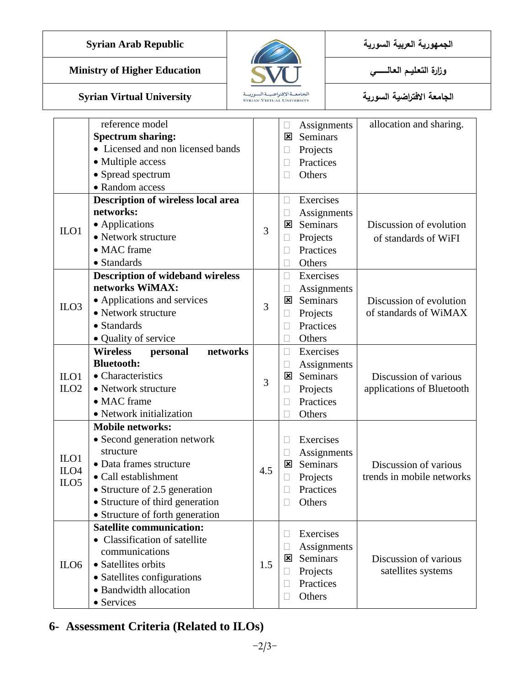**الجمهورية العربية السورية Republic Arab Syrian**

## **Ministry of Higher Education العـالـــــــــي التعـليــم وزارة**



**الجامعة االفتراضية السورية University Virtual Syrian**

|                  | reference model                         |     |                          | Assignments     | allocation and sharing.   |
|------------------|-----------------------------------------|-----|--------------------------|-----------------|---------------------------|
|                  | <b>Spectrum sharing:</b>                |     | ⊠                        | Seminars        |                           |
|                  | • Licensed and non licensed bands       |     | u                        | Projects        |                           |
|                  | • Multiple access                       |     | П                        | Practices       |                           |
|                  | • Spread spectrum                       |     |                          | Others          |                           |
|                  | • Random access                         |     |                          |                 |                           |
|                  | Description of wireless local area      |     | П                        | Exercises       |                           |
|                  | networks:                               |     | $\Box$                   | Assignments     |                           |
| $II$             | • Applications                          | 3   | ⊠                        | Seminars        | Discussion of evolution   |
|                  | • Network structure                     |     | $\Box$                   | Projects        | of standards of WiFI      |
|                  | • MAC frame                             |     | П                        | Practices       |                           |
|                  | • Standards                             |     |                          | Others          |                           |
|                  | <b>Description of wideband wireless</b> |     | $\Box$                   | Exercises       |                           |
|                  | networks WiMAX:                         |     |                          | Assignments     |                           |
| ILO <sub>3</sub> | • Applications and services             | 3   | ⊠                        | <b>Seminars</b> | Discussion of evolution   |
|                  | • Network structure                     |     | $\Box$                   | Projects        | of standards of WiMAX     |
|                  | • Standards                             |     |                          | Practices       |                           |
|                  | • Quality of service                    |     | $\Box$                   | Others          |                           |
|                  | <b>Wireless</b><br>networks<br>personal |     | $\Box$                   | Exercises       |                           |
|                  | <b>Bluetooth:</b>                       |     | $\Box$                   | Assignments     |                           |
| $II$             | • Characteristics                       | 3   | ⊠                        | Seminars        | Discussion of various     |
| ILO <sub>2</sub> | • Network structure                     |     | □                        | Projects        | applications of Bluetooth |
|                  | • MAC frame                             |     | П                        | Practices       |                           |
|                  | • Network initialization                |     |                          | Others          |                           |
|                  | <b>Mobile networks:</b>                 |     |                          |                 |                           |
|                  | • Second generation network             |     | П                        | Exercises       |                           |
| $II$             | structure                               |     | $\Box$                   | Assignments     |                           |
| ILO <sub>4</sub> | · Data frames structure                 | 4.5 | ⊠                        | Seminars        | Discussion of various     |
| ILO <sub>5</sub> | • Call establishment                    |     | $\Box$                   | Projects        | trends in mobile networks |
|                  | • Structure of 2.5 generation           |     |                          | Practices       |                           |
|                  | • Structure of third generation         |     |                          | Others          |                           |
|                  | • Structure of forth generation         |     |                          |                 |                           |
|                  | <b>Satellite communication:</b>         |     | H                        | Exercises       |                           |
|                  | • Classification of satellite           |     |                          | Assignments     |                           |
|                  | communications                          |     | $\Box$<br>⊠              | Seminars        | Discussion of various     |
| ILO <sub>6</sub> | • Satellites orbits                     | 1.5 |                          | Projects        | satellites systems        |
|                  | • Satellites configurations             |     | $\Box$                   | Practices       |                           |
|                  | • Bandwidth allocation                  |     |                          |                 |                           |
|                  | • Services                              |     | $\overline{\phantom{a}}$ | Others          |                           |

## **6- Assessment Criteria (Related to ILOs)**